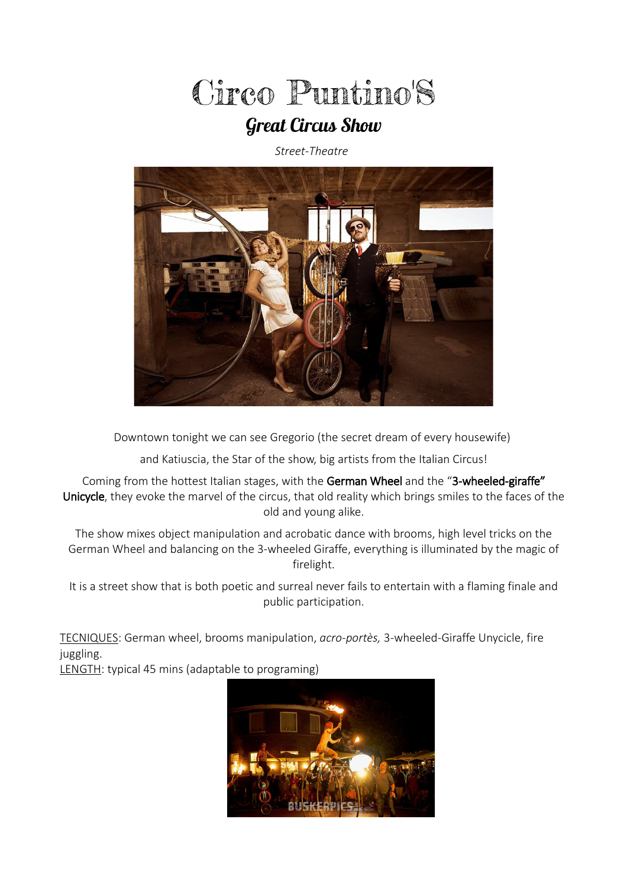

# Great Circus Show

*Street-Theatre*



Downtown tonight we can see Gregorio (the secret dream of every housewife)

and Katiuscia, the Star of the show, big artists from the Italian Circus!

Coming from the hottest Italian stages, with the German Wheel and the "3-wheeled-giraffe" Unicycle, they evoke the marvel of the circus, that old reality which brings smiles to the faces of the old and young alike.

The show mixes object manipulation and acrobatic dance with brooms, high level tricks on the German Wheel and balancing on the 3-wheeled Giraffe, everything is illuminated by the magic of firelight.

It is a street show that is both poetic and surreal never fails to entertain with a flaming finale and public participation.

TECNIQUES: German wheel, brooms manipulation, *acro-portès,* 3-wheeled-Giraffe Unycicle, fire juggling.

LENGTH: typical 45 mins (adaptable to programing)

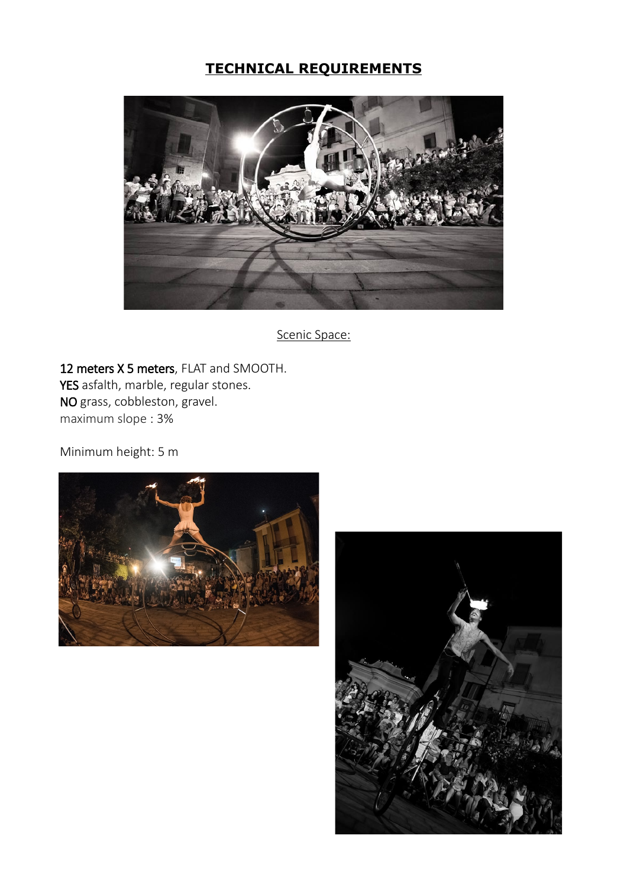## **TECHNICAL REQUIREMENTS**



Scenic Space:

12 meters X 5 meters, FLAT and SMOOTH. YES asfalth, marble, regular stones. NO grass, cobbleston, gravel. maximum slope : 3%

Minimum height: 5 m